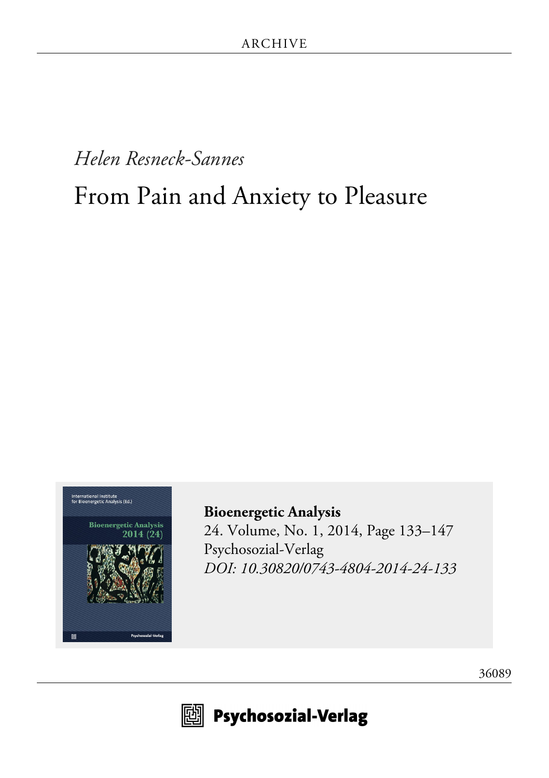# *Helen Resneck-Sannes* From Pain and Anxiety to Pleasure



**[Bioenergetic Analysis](http://www.psychosozial-verlag.de/2372)** [24. Volume, No. 1, 2014, Page 133–147](http://www.psychosozial-verlag.de/2372) [Psychosozial-Verlag](http://www.psychosozial-verlag.de/2372) *[DOI: 10.30820/0743-4804-2014-24-133](https://doi.org/10.30820/0743-4804-2014-24-133)*

[36089](http://www.psychosozial-verlag.de/36089)



 $\boxplus$  Psychosozial-Verlag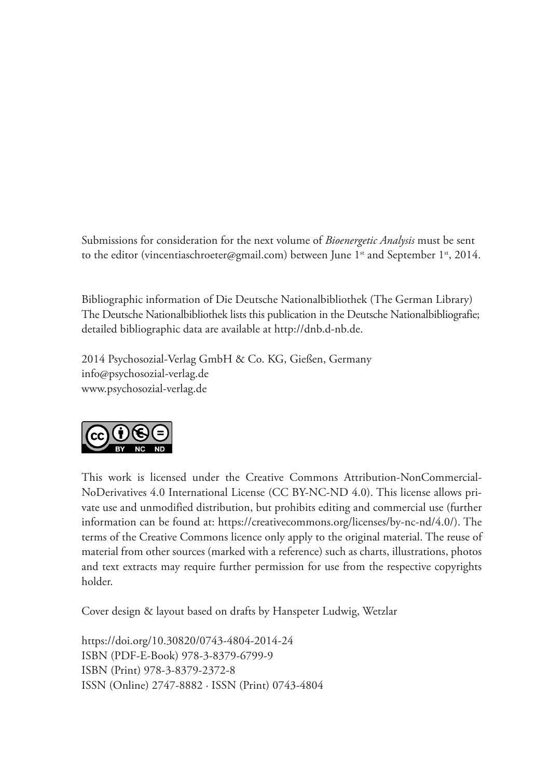Submissions for consideration for the next volume of *Bioenergetic Analysis* must be sent to the editor (vincentiaschroeter@gmail.com) between June 1<sup>st</sup> and September 1<sup>st</sup>, 2014.

Bibliographic information of Die Deutsche Nationalbibliothek (The German Library) The Deutsche Nationalbibliothek lists this publication in the Deutsche Nationalbibliografie; detailed bibliographic data are available at http://dnb.d-nb.de.

2014 Psychosozial-Verlag GmbH & Co. KG, Gießen, Germany info@psychosozial-verlag.de www.psychosozial-verlag.de



This work is licensed under the Creative Commons Attribution-NonCommercial-NoDerivatives 4.0 International License (CC BY-NC-ND 4.0). This license allows private use and unmodified distribution, but prohibits editing and commercial use (further information can be found at: https://creativecommons.org/licenses/by-nc-nd/4.0/). The terms of the Creative Commons licence only apply to the original material. The reuse of material from other sources (marked with a reference) such as charts, illustrations, photos and text extracts may require further permission for use from the respective copyrights holder.

Cover design & layout based on drafts by Hanspeter Ludwig, Wetzlar

https://doi.org/10.30820/0743-4804-2014-24 ISBN (PDF-E-Book) 978-3-8379-6799-9 ISBN (Print) 978-3-8379-2372-8 ISSN (Online) 2747-8882 · ISSN (Print) 0743-4804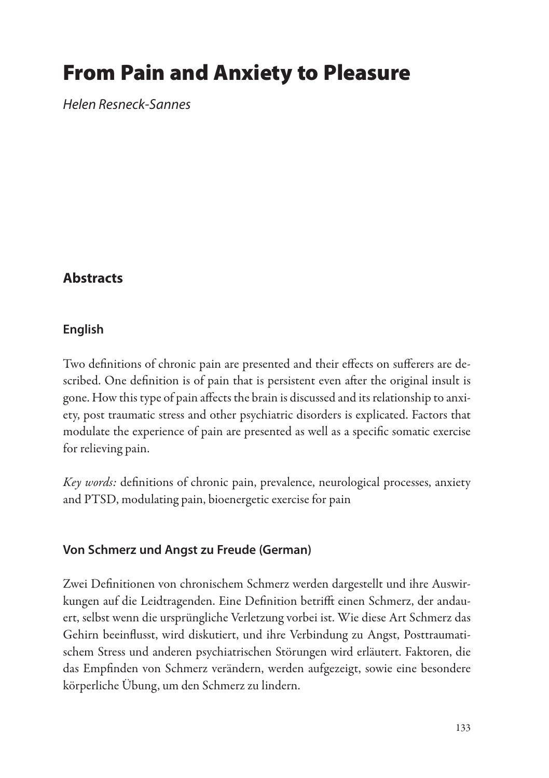# From Pain and Anxiety to Pleasure

*Helen Resneck-Sannes*

# **Abstracts**

# **English**

Two definitions of chronic pain are presented and their effects on sufferers are described. One definition is of pain that is persistent even after the original insult is gone. How this type of pain affects the brain is discussed and its relationship to anxiety, post traumatic stress and other psychiatric disorders is explicated. Factors that modulate the experience of pain are presented as well as a specific somatic exercise for relieving pain.

*Key words:* definitions of chronic pain, prevalence, neurological processes, anxiety and PTSD, modulating pain, bioenergetic exercise for pain

# **Von Schmerz und Angst zu Freude (German)**

Zwei Definitionen von chronischem Schmerz werden dargestellt und ihre Auswirkungen auf die Leidtragenden. Eine Definition betrifft einen Schmerz, der andauert, selbst wenn die ursprüngliche Verletzung vorbei ist. Wie diese Art Schmerz das Gehirn beeinflusst, wird diskutiert, und ihre Verbindung zu Angst, Posttraumatischem Stress und anderen psychiatrischen Störungen wird erläutert. Faktoren, die das Empfinden von Schmerz verändern, werden aufgezeigt, sowie eine besondere körperliche Übung, um den Schmerz zu lindern.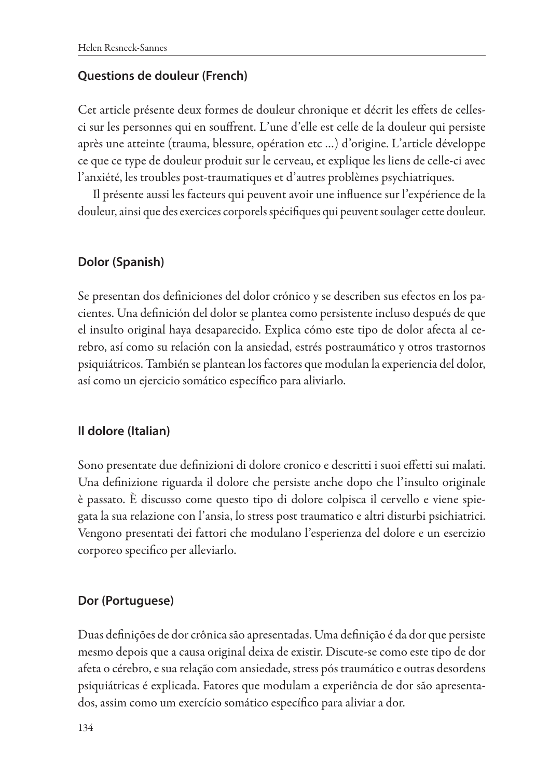# **Questions de douleur (French)**

Cet article présente deux formes de douleur chronique et décrit les effets de cellesci sur les personnes qui en souffrent. L'une d'elle est celle de la douleur qui persiste après une atteinte (trauma, blessure, opération etc …) d'origine. L'article développe ce que ce type de douleur produit sur le cerveau, et explique les liens de celle-ci avec l'anxiété, les troubles post-traumatiques et d'autres problèmes psychiatriques.

Il présente aussi les facteurs qui peuvent avoir une influence sur l'expérience de la douleur, ainsi que des exercices corporels spécifiques qui peuvent soulager cette douleur.

# **Dolor (Spanish)**

Se presentan dos definiciones del dolor crónico y se describen sus efectos en los pacientes. Una definición del dolor se plantea como persistente incluso después de que el insulto original haya desaparecido. Explica cómo este tipo de dolor afecta al cerebro, así como su relación con la ansiedad, estrés postraumático y otros trastornos psiquiátricos. También se plantean los factores que modulan la experiencia del dolor, así como un ejercicio somático específico para aliviarlo.

#### **Il dolore (Italian)**

Sono presentate due definizioni di dolore cronico e descritti i suoi effetti sui malati. Una definizione riguarda il dolore che persiste anche dopo che l'insulto originale è passato. È discusso come questo tipo di dolore colpisca il cervello e viene spiegata la sua relazione con l'ansia, lo stress post traumatico e altri disturbi psichiatrici. Vengono presentati dei fattori che modulano l'esperienza del dolore e un esercizio corporeo specifico per alleviarlo.

#### **Dor (Portuguese)**

Duas definições de dor crônica são apresentadas. Uma definição é da dor que persiste mesmo depois que a causa original deixa de existir. Discute-se como este tipo de dor afeta o cérebro, e sua relação com ansiedade, stress pós traumático e outras desordens psiquiátricas é explicada. Fatores que modulam a experiência de dor são apresentados, assim como um exercício somático específico para aliviar a dor.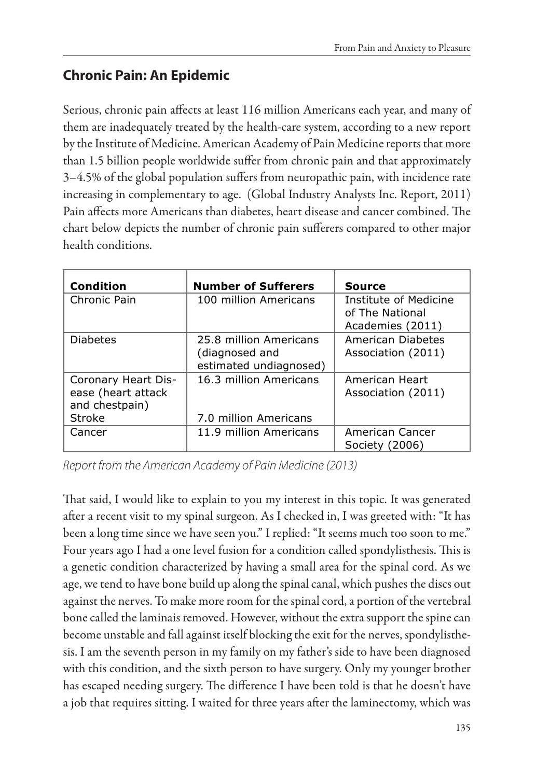# **Chronic Pain: An Epidemic**

Serious, chronic pain affects at least 116 million Americans each year, and many of them are inadequately treated by the health-care system, according to a new report by the Institute of Medicine. American Academy of Pain Medicine reports that more than 1.5 billion people worldwide suffer from chronic pain and that approximately 3–4.5% of the global population suffers from neuropathic pain, with incidence rate increasing in complementary to age. (Global Industry Analysts Inc. Report, 2011) Pain affects more Americans than diabetes, heart disease and cancer combined. The chart below depicts the number of chronic pain sufferers compared to other major health conditions.

| Condition                                                             | <b>Number of Sufferers</b>                                         | Source                                                       |
|-----------------------------------------------------------------------|--------------------------------------------------------------------|--------------------------------------------------------------|
| Chronic Pain                                                          | 100 million Americans                                              | Institute of Medicine<br>of The National<br>Academies (2011) |
| <b>Diabetes</b>                                                       | 25.8 million Americans<br>(diagnosed and<br>estimated undiagnosed) | American Diabetes<br>Association (2011)                      |
| Coronary Heart Dis-<br>ease (heart attack<br>and chestpain)<br>Stroke | 16.3 million Americans<br>7.0 million Americans                    | American Heart<br>Association (2011)                         |
| Cancer                                                                | 11.9 million Americans                                             | American Cancer<br>Society (2006)                            |

*Report from the American Academy of Pain Medicine (2013)*

That said, I would like to explain to you my interest in this topic. It was generated after a recent visit to my spinal surgeon. As I checked in, I was greeted with: "It has been a long time since we have seen you." I replied: "It seems much too soon to me." Four years ago I had a one level fusion for a condition called spondylisthesis. This is a genetic condition characterized by having a small area for the spinal cord. As we age, we tend to have bone build up along the spinal canal, which pushes the discs out against the nerves. To make more room for the spinal cord, a portion of the vertebral bone called the laminais removed. However, without the extra support the spine can become unstable and fall against itself blocking the exit for the nerves, spondylisthesis. I am the seventh person in my family on my father's side to have been diagnosed with this condition, and the sixth person to have surgery. Only my younger brother has escaped needing surgery. The difference I have been told is that he doesn't have a job that requires sitting. I waited for three years after the laminectomy, which was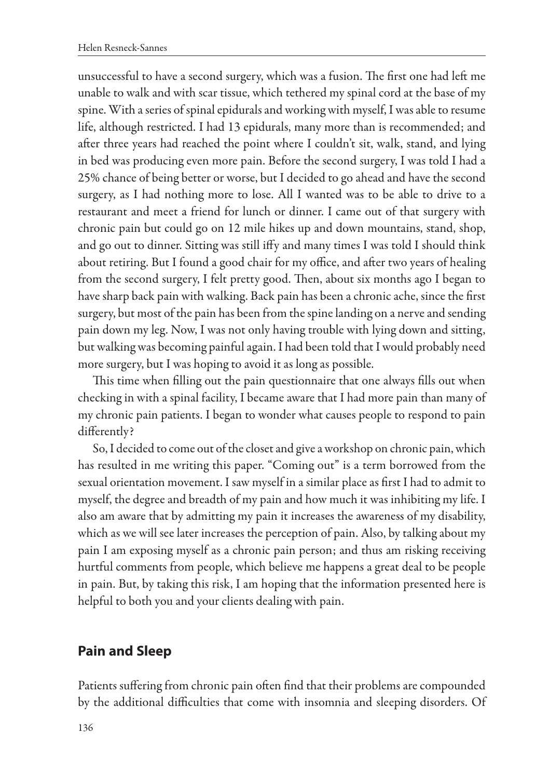unsuccessful to have a second surgery, which was a fusion. The first one had left me unable to walk and with scar tissue, which tethered my spinal cord at the base of my spine. With a series of spinal epidurals and working with myself, I was able to resume life, although restricted. I had 13 epidurals, many more than is recommended; and after three years had reached the point where I couldn't sit, walk, stand, and lying in bed was producing even more pain. Before the second surgery, I was told I had a 25% chance of being better or worse, but I decided to go ahead and have the second surgery, as I had nothing more to lose. All I wanted was to be able to drive to a restaurant and meet a friend for lunch or dinner. I came out of that surgery with chronic pain but could go on 12 mile hikes up and down mountains, stand, shop, and go out to dinner. Sitting was still iffy and many times I was told I should think about retiring. But I found a good chair for my office, and after two years of healing from the second surgery, I felt pretty good. Then, about six months ago I began to have sharp back pain with walking. Back pain has been a chronic ache, since the first surgery, but most of the pain has been from the spine landing on a nerve and sending pain down my leg. Now, I was not only having trouble with lying down and sitting, but walking was becoming painful again. I had been told that I would probably need more surgery, but I was hoping to avoid it as long as possible.

This time when filling out the pain questionnaire that one always fills out when checking in with a spinal facility, I became aware that I had more pain than many of my chronic pain patients. I began to wonder what causes people to respond to pain differently?

So, I decided to come out of the closet and give a workshop on chronic pain, which has resulted in me writing this paper. "Coming out" is a term borrowed from the sexual orientation movement. I saw myself in a similar place as first I had to admit to myself, the degree and breadth of my pain and how much it was inhibiting my life. I also am aware that by admitting my pain it increases the awareness of my disability, which as we will see later increases the perception of pain. Also, by talking about my pain I am exposing myself as a chronic pain person; and thus am risking receiving hurtful comments from people, which believe me happens a great deal to be people in pain. But, by taking this risk, I am hoping that the information presented here is helpful to both you and your clients dealing with pain.

# **Pain and Sleep**

Patients suffering from chronic pain often find that their problems are compounded by the additional difficulties that come with insomnia and sleeping disorders. Of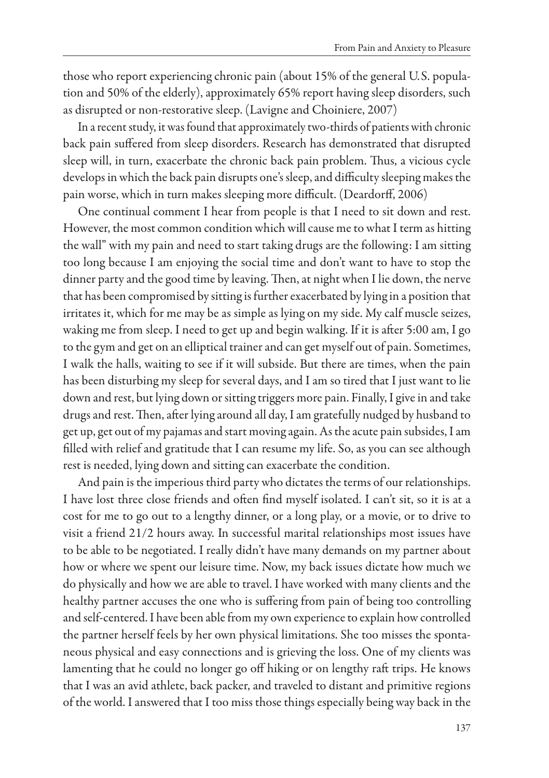those who report experiencing chronic pain (about 15% of the general U. S. population and 50% of the elderly), approximately 65% report having sleep disorders, such as disrupted or non-restorative sleep. (Lavigne and Choiniere, 2007)

In a recent study, it was found that approximately two-thirds of patients with chronic back pain suffered from sleep disorders. Research has demonstrated that disrupted sleep will, in turn, exacerbate the chronic back pain problem. Thus, a vicious cycle develops in which the back pain disrupts one's sleep, and difficulty sleeping makes the pain worse, which in turn makes sleeping more difficult. (Deardorff, 2006)

One continual comment I hear from people is that I need to sit down and rest. However, the most common condition which will cause me to what I term as hitting the wall" with my pain and need to start taking drugs are the following: I am sitting too long because I am enjoying the social time and don't want to have to stop the dinner party and the good time by leaving. Then, at night when I lie down, the nerve that has been compromised by sitting is further exacerbated by lying in a position that irritates it, which for me may be as simple as lying on my side. My calf muscle seizes, waking me from sleep. I need to get up and begin walking. If it is after 5:00 am, I go to the gym and get on an elliptical trainer and can get myself out of pain. Sometimes, I walk the halls, waiting to see if it will subside. But there are times, when the pain has been disturbing my sleep for several days, and I am so tired that I just want to lie down and rest, but lying down or sitting triggers more pain. Finally, I give in and take drugs and rest. Then, after lying around all day, I am gratefully nudged by husband to get up, get out of my pajamas and start moving again. As the acute pain subsides, I am filled with relief and gratitude that I can resume my life. So, as you can see although rest is needed, lying down and sitting can exacerbate the condition.

And pain is the imperious third party who dictates the terms of our relationships. I have lost three close friends and often find myself isolated. I can't sit, so it is at a cost for me to go out to a lengthy dinner, or a long play, or a movie, or to drive to visit a friend 21/2 hours away. In successful marital relationships most issues have to be able to be negotiated. I really didn't have many demands on my partner about how or where we spent our leisure time. Now, my back issues dictate how much we do physically and how we are able to travel. I have worked with many clients and the healthy partner accuses the one who is suffering from pain of being too controlling and self-centered. I have been able from my own experience to explain how controlled the partner herself feels by her own physical limitations. She too misses the spontaneous physical and easy connections and is grieving the loss. One of my clients was lamenting that he could no longer go off hiking or on lengthy raft trips. He knows that I was an avid athlete, back packer, and traveled to distant and primitive regions of the world. I answered that I too miss those things especially being way back in the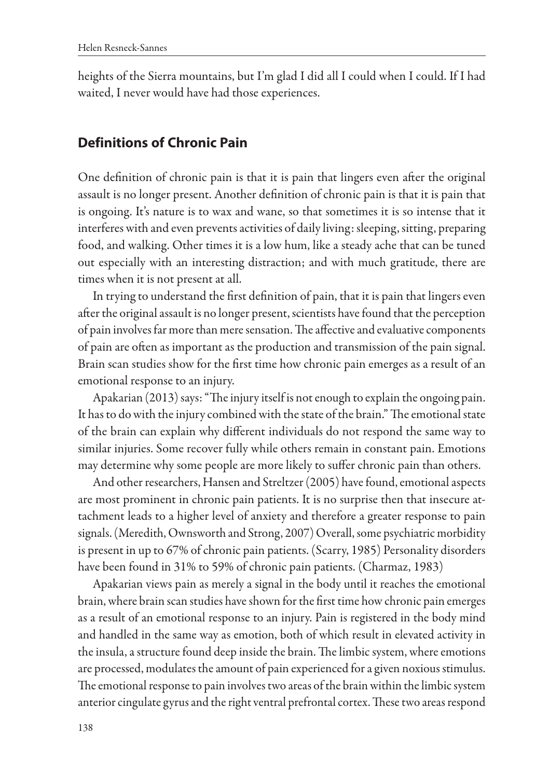heights of the Sierra mountains, but I'm glad I did all I could when I could. If I had waited, I never would have had those experiences.

# **Definitions of Chronic Pain**

One definition of chronic pain is that it is pain that lingers even after the original assault is no longer present. Another definition of chronic pain is that it is pain that is ongoing. It's nature is to wax and wane, so that sometimes it is so intense that it interferes with and even prevents activities of daily living: sleeping, sitting, preparing food, and walking. Other times it is a low hum, like a steady ache that can be tuned out especially with an interesting distraction; and with much gratitude, there are times when it is not present at all.

In trying to understand the first definition of pain, that it is pain that lingers even after the original assault is no longer present, scientists have found that the perception of pain involves far more than mere sensation. The affective and evaluative components of pain are often as important as the production and transmission of the pain signal. Brain scan studies show for the first time how chronic pain emerges as a result of an emotional response to an injury.

Apakarian (2013) says: "The injury itself is not enough to explain the ongoing pain. It has to do with the injury combined with the state of the brain." The emotional state of the brain can explain why different individuals do not respond the same way to similar injuries. Some recover fully while others remain in constant pain. Emotions may determine why some people are more likely to suffer chronic pain than others.

And other researchers, Hansen and Streltzer (2005) have found, emotional aspects are most prominent in chronic pain patients. It is no surprise then that insecure attachment leads to a higher level of anxiety and therefore a greater response to pain signals. (Meredith, Ownsworth and Strong, 2007) Overall, some psychiatric morbidity is present in up to 67% of chronic pain patients. (Scarry, 1985) Personality disorders have been found in 31% to 59% of chronic pain patients. (Charmaz, 1983)

Apakarian views pain as merely a signal in the body until it reaches the emotional brain, where brain scan studies have shown for the first time how chronic pain emerges as a result of an emotional response to an injury. Pain is registered in the body mind and handled in the same way as emotion, both of which result in elevated activity in the insula, a structure found deep inside the brain. The limbic system, where emotions are processed, modulates the amount of pain experienced for a given noxious stimulus. The emotional response to pain involves two areas of the brain within the limbic system anterior cingulate gyrus and the right ventral prefrontal cortex. These two areas respond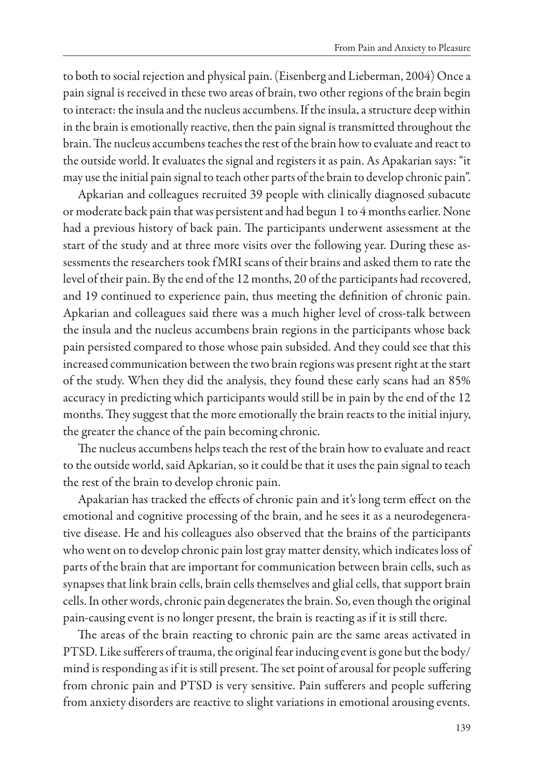to both to social rejection and physical pain. (Eisenberg and Lieberman, 2004) Once a pain signal is received in these two areas of brain, two other regions of the brain begin to interact: the insula and the nucleus accumbens. If the insula, a structure deep within in the brain is emotionally reactive, then the pain signal is transmitted throughout the brain. The nucleus accumbens teaches the rest of the brain how to evaluate and react to the outside world. It evaluates the signal and registers it as pain. As Apakarian says: "it may use the initial pain signal to teach other parts of the brain to develop chronic pain".

Apkarian and colleagues recruited 39 people with clinically diagnosed subacute or moderate back pain that was persistent and had begun 1 to 4 months earlier. None had a previous history of back pain. The participants underwent assessment at the start of the study and at three more visits over the following year. During these assessments the researchers took fMRI scans of their brains and asked them to rate the level of their pain. By the end of the 12 months, 20 of the participants had recovered, and 19 continued to experience pain, thus meeting the definition of chronic pain. Apkarian and colleagues said there was a much higher level of cross-talk between the insula and the nucleus accumbens brain regions in the participants whose back pain persisted compared to those whose pain subsided. And they could see that this increased communication between the two brain regions was present right at the start of the study. When they did the analysis, they found these early scans had an 85% accuracy in predicting which participants would still be in pain by the end of the 12 months. They suggest that the more emotionally the brain reacts to the initial injury, the greater the chance of the pain becoming chronic.

The nucleus accumbens helps teach the rest of the brain how to evaluate and react to the outside world, said Apkarian, so it could be that it uses the pain signal to teach the rest of the brain to develop chronic pain.

Apakarian has tracked the effects of chronic pain and it's long term effect on the emotional and cognitive processing of the brain, and he sees it as a neurodegenerative disease. He and his colleagues also observed that the brains of the participants who went on to develop chronic pain lost gray matter density, which indicates loss of parts of the brain that are important for communication between brain cells, such as synapses that link brain cells, brain cells themselves and glial cells, that support brain cells. In other words, chronic pain degenerates the brain. So, even though the original pain-causing event is no longer present, the brain is reacting as if it is still there.

The areas of the brain reacting to chronic pain are the same areas activated in PTSD. Like sufferers of trauma, the original fear inducing event is gone but the body/ mind is responding as if it is still present. The set point of arousal for people suffering from chronic pain and PTSD is very sensitive. Pain sufferers and people suffering from anxiety disorders are reactive to slight variations in emotional arousing events.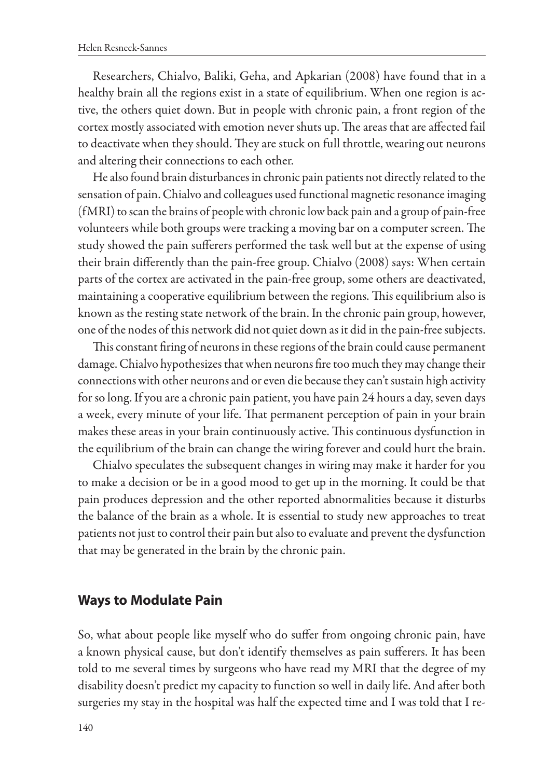Researchers, Chialvo, Baliki, Geha, and Apkarian (2008) have found that in a healthy brain all the regions exist in a state of equilibrium. When one region is active, the others quiet down. But in people with chronic pain, a front region of the cortex mostly associated with emotion never shuts up. The areas that are affected fail to deactivate when they should. They are stuck on full throttle, wearing out neurons and altering their connections to each other.

He also found brain disturbances in chronic pain patients not directly related to the sensation of pain. Chialvo and colleagues used functional magnetic resonance imaging (fMRI) to scan the brains of people with chronic low back pain and a group of pain-free volunteers while both groups were tracking a moving bar on a computer screen. The study showed the pain sufferers performed the task well but at the expense of using their brain differently than the pain-free group. Chialvo (2008) says: When certain parts of the cortex are activated in the pain-free group, some others are deactivated, maintaining a cooperative equilibrium between the regions. This equilibrium also is known as the resting state network of the brain. In the chronic pain group, however, one of the nodes of this network did not quiet down as it did in the pain-free subjects.

This constant firing of neurons in these regions of the brain could cause permanent damage. Chialvo hypothesizes that when neurons fire too much they may change their connections with other neurons and or even die because they can't sustain high activity for so long. If you are a chronic pain patient, you have pain 24 hours a day, seven days a week, every minute of your life. That permanent perception of pain in your brain makes these areas in your brain continuously active. This continuous dysfunction in the equilibrium of the brain can change the wiring forever and could hurt the brain.

Chialvo speculates the subsequent changes in wiring may make it harder for you to make a decision or be in a good mood to get up in the morning. It could be that pain produces depression and the other reported abnormalities because it disturbs the balance of the brain as a whole. It is essential to study new approaches to treat patients not just to control their pain but also to evaluate and prevent the dysfunction that may be generated in the brain by the chronic pain.

#### **Ways to Modulate Pain**

So, what about people like myself who do suffer from ongoing chronic pain, have a known physical cause, but don't identify themselves as pain sufferers. It has been told to me several times by surgeons who have read my MRI that the degree of my disability doesn't predict my capacity to function so well in daily life. And after both surgeries my stay in the hospital was half the expected time and I was told that I re-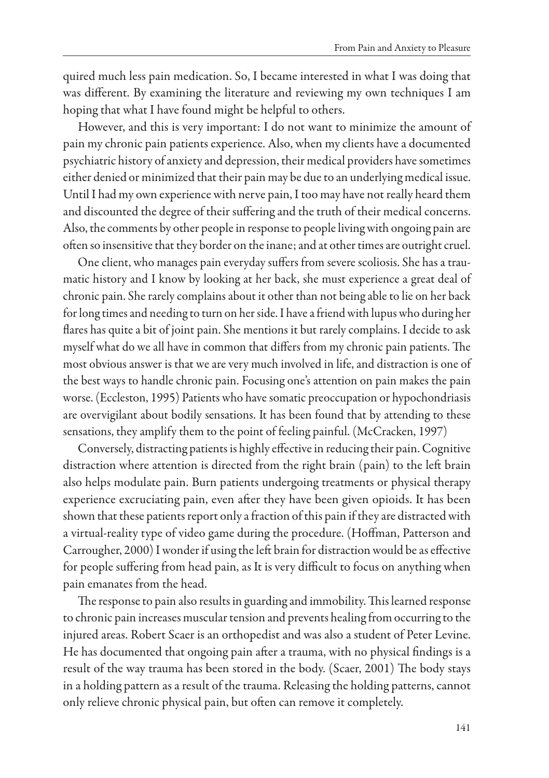quired much less pain medication. So, I became interested in what I was doing that was different. By examining the literature and reviewing my own techniques I am hoping that what I have found might be helpful to others.

However, and this is very important: I do not want to minimize the amount of pain my chronic pain patients experience. Also, when my clients have a documented psychiatric history of anxiety and depression, their medical providers have sometimes either denied or minimized that their pain may be due to an underlying medical issue. Until I had my own experience with nerve pain, I too may have not really heard them and discounted the degree of their suffering and the truth of their medical concerns. Also, the comments by other people in response to people living with ongoing pain are often so insensitive that they border on the inane; and at other times are outright cruel.

One client, who manages pain everyday suffers from severe scoliosis. She has a traumatic history and I know by looking at her back, she must experience a great deal of chronic pain. She rarely complains about it other than not being able to lie on her back for long times and needing to turn on her side. I have a friend with lupus who during her flares has quite a bit of joint pain. She mentions it but rarely complains. I decide to ask myself what do we all have in common that differs from my chronic pain patients. The most obvious answer is that we are very much involved in life, and distraction is one of the best ways to handle chronic pain. Focusing one's attention on pain makes the pain worse. (Eccleston, 1995) Patients who have somatic preoccupation or hypochondriasis are overvigilant about bodily sensations. It has been found that by attending to these sensations, they amplify them to the point of feeling painful. (McCracken, 1997)

Conversely, distracting patients is highly effective in reducing their pain. Cognitive distraction where attention is directed from the right brain (pain) to the left brain also helps modulate pain. Burn patients undergoing treatments or physical therapy experience excruciating pain, even after they have been given opioids. It has been shown that these patients report only a fraction of this pain if they are distracted with a virtual-reality type of video game during the procedure. (Hoffman, Patterson and Carrougher, 2000) I wonder if using the left brain for distraction would be as effective for people suffering from head pain, as It is very difficult to focus on anything when pain emanates from the head.

The response to pain also results in guarding and immobility. This learned response to chronic pain increases muscular tension and prevents healing from occurring to the injured areas. Robert Scaer is an orthopedist and was also a student of Peter Levine. He has documented that ongoing pain after a trauma, with no physical findings is a result of the way trauma has been stored in the body. (Scaer, 2001) The body stays in a holding pattern as a result of the trauma. Releasing the holding patterns, cannot only relieve chronic physical pain, but often can remove it completely.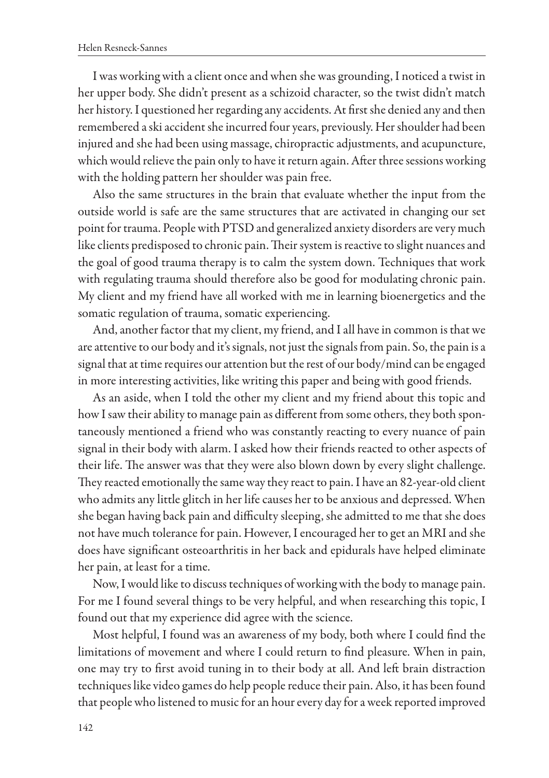I was working with a client once and when she was grounding, I noticed a twist in her upper body. She didn't present as a schizoid character, so the twist didn't match her history. I questioned her regarding any accidents. At first she denied any and then remembered a ski accident she incurred four years, previously. Her shoulder had been injured and she had been using massage, chiropractic adjustments, and acupuncture, which would relieve the pain only to have it return again. After three sessions working with the holding pattern her shoulder was pain free.

Also the same structures in the brain that evaluate whether the input from the outside world is safe are the same structures that are activated in changing our set point for trauma. People with PTSD and generalized anxiety disorders are very much like clients predisposed to chronic pain. Their system is reactive to slight nuances and the goal of good trauma therapy is to calm the system down. Techniques that work with regulating trauma should therefore also be good for modulating chronic pain. My client and my friend have all worked with me in learning bioenergetics and the somatic regulation of trauma, somatic experiencing.

And, another factor that my client, my friend, and I all have in common is that we are attentive to our body and it's signals, not just the signals from pain. So, the pain is a signal that at time requires our attention but the rest of our body/mind can be engaged in more interesting activities, like writing this paper and being with good friends.

As an aside, when I told the other my client and my friend about this topic and how I saw their ability to manage pain as different from some others, they both spontaneously mentioned a friend who was constantly reacting to every nuance of pain signal in their body with alarm. I asked how their friends reacted to other aspects of their life. The answer was that they were also blown down by every slight challenge. They reacted emotionally the same way they react to pain. I have an 82-year-old client who admits any little glitch in her life causes her to be anxious and depressed. When she began having back pain and difficulty sleeping, she admitted to me that she does not have much tolerance for pain. However, I encouraged her to get an MRI and she does have significant osteoarthritis in her back and epidurals have helped eliminate her pain, at least for a time.

Now, I would like to discuss techniques of working with the body to manage pain. For me I found several things to be very helpful, and when researching this topic, I found out that my experience did agree with the science.

Most helpful, I found was an awareness of my body, both where I could find the limitations of movement and where I could return to find pleasure. When in pain, one may try to first avoid tuning in to their body at all. And left brain distraction techniques like video games do help people reduce their pain. Also, it has been found that people who listened to music for an hour every day for a week reported improved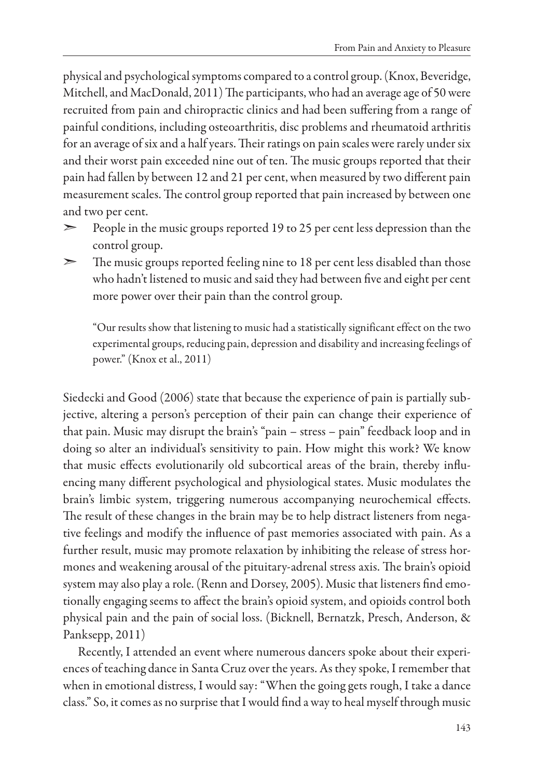physical and psychological symptoms compared to a control group. (Knox, Beveridge, Mitchell, and MacDonald, 2011) The participants, who had an average age of 50 were recruited from pain and chiropractic clinics and had been suffering from a range of painful conditions, including osteoarthritis, disc problems and rheumatoid arthritis for an average of six and a half years. Their ratings on pain scales were rarely under six and their worst pain exceeded nine out of ten. The music groups reported that their pain had fallen by between 12 and 21 per cent, when measured by two different pain measurement scales. The control group reported that pain increased by between one and two per cent.

- ➣ People in the music groups reported 19 to 25 per cent less depression than the control group.
- ➣ The music groups reported feeling nine to 18 per cent less disabled than those who hadn't listened to music and said they had between five and eight per cent more power over their pain than the control group.

"Our results show that listening to music had a statistically significant effect on the two experimental groups, reducing pain, depression and disability and increasing feelings of power." (Knox et al., 2011)

Siedecki and Good (2006) state that because the experience of pain is partially subjective, altering a person's perception of their pain can change their experience of that pain. Music may disrupt the brain's "pain – stress – pain" feedback loop and in doing so alter an individual's sensitivity to pain. How might this work? We know that music effects evolutionarily old subcortical areas of the brain, thereby influencing many different psychological and physiological states. Music modulates the brain's limbic system, triggering numerous accompanying neurochemical effects. The result of these changes in the brain may be to help distract listeners from negative feelings and modify the influence of past memories associated with pain. As a further result, music may promote relaxation by inhibiting the release of stress hormones and weakening arousal of the pituitary-adrenal stress axis. The brain's opioid system may also play a role. (Renn and Dorsey, 2005). Music that listeners find emotionally engaging seems to affect the brain's opioid system, and opioids control both physical pain and the pain of social loss. (Bicknell, Bernatzk, Presch, Anderson, & Panksepp, 2011)

Recently, I attended an event where numerous dancers spoke about their experiences of teaching dance in Santa Cruz over the years. As they spoke, I remember that when in emotional distress, I would say: "When the going gets rough, I take a dance class." So, it comes as no surprise that I would find a way to heal myself through music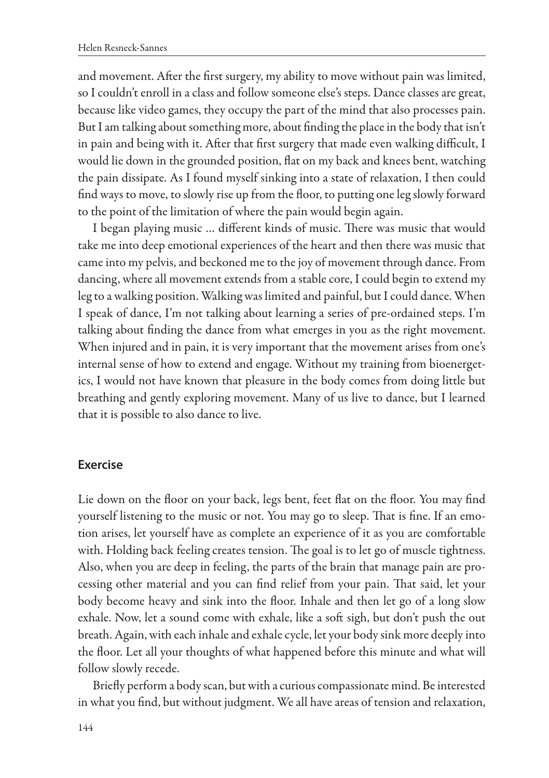and movement. After the first surgery, my ability to move without pain was limited, so I couldn't enroll in a class and follow someone else's steps. Dance classes are great, because like video games, they occupy the part of the mind that also processes pain. But I am talking about something more, about finding the place in the body that isn't in pain and being with it. After that first surgery that made even walking difficult, I would lie down in the grounded position, flat on my back and knees bent, watching the pain dissipate. As I found myself sinking into a state of relaxation, I then could find ways to move, to slowly rise up from the floor, to putting one leg slowly forward to the point of the limitation of where the pain would begin again.

I began playing music … different kinds of music. There was music that would take me into deep emotional experiences of the heart and then there was music that came into my pelvis, and beckoned me to the joy of movement through dance. From dancing, where all movement extends from a stable core, I could begin to extend my leg to a walking position. Walking was limited and painful, but I could dance. When I speak of dance, I'm not talking about learning a series of pre-ordained steps. I'm talking about finding the dance from what emerges in you as the right movement. When injured and in pain, it is very important that the movement arises from one's internal sense of how to extend and engage. Without my training from bioenergetics, I would not have known that pleasure in the body comes from doing little but breathing and gently exploring movement. Many of us live to dance, but I learned that it is possible to also dance to live.

#### **Exercise**

Lie down on the floor on your back, legs bent, feet flat on the floor. You may find yourself listening to the music or not. You may go to sleep. That is fine. If an emotion arises, let yourself have as complete an experience of it as you are comfortable with. Holding back feeling creates tension. The goal is to let go of muscle tightness. Also, when you are deep in feeling, the parts of the brain that manage pain are processing other material and you can find relief from your pain. That said, let your body become heavy and sink into the floor. Inhale and then let go of a long slow exhale. Now, let a sound come with exhale, like a soft sigh, but don't push the out breath. Again, with each inhale and exhale cycle, let your body sink more deeply into the floor. Let all your thoughts of what happened before this minute and what will follow slowly recede.

Briefly perform a body scan, but with a curious compassionate mind. Be interested in what you find, but without judgment. We all have areas of tension and relaxation,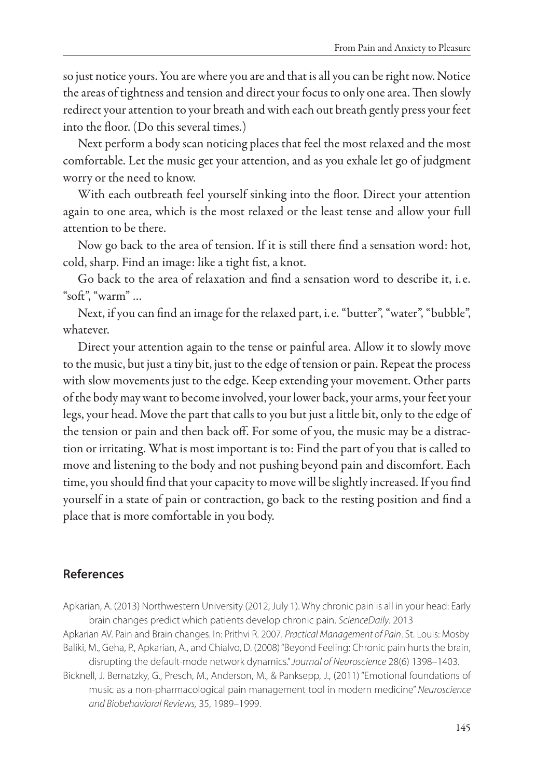so just notice yours. You are where you are and that is all you can be right now. Notice the areas of tightness and tension and direct your focus to only one area. Then slowly redirect your attention to your breath and with each out breath gently press your feet into the floor. (Do this several times.)

Next perform a body scan noticing places that feel the most relaxed and the most comfortable. Let the music get your attention, and as you exhale let go of judgment worry or the need to know.

With each outbreath feel yourself sinking into the floor. Direct your attention again to one area, which is the most relaxed or the least tense and allow your full attention to be there.

Now go back to the area of tension. If it is still there find a sensation word: hot, cold, sharp. Find an image: like a tight fist, a knot.

Go back to the area of relaxation and find a sensation word to describe it, i. e. " $\operatorname{soft}$ ", "warm" ...

Next, if you can find an image for the relaxed part, i. e. "butter", "water", "bubble", whatever.

Direct your attention again to the tense or painful area. Allow it to slowly move to the music, but just a tiny bit, just to the edge of tension or pain. Repeat the process with slow movements just to the edge. Keep extending your movement. Other parts of the body may want to become involved, your lower back, your arms, your feet your legs, your head. Move the part that calls to you but just a little bit, only to the edge of the tension or pain and then back off. For some of you, the music may be a distraction or irritating. What is most important is to: Find the part of you that is called to move and listening to the body and not pushing beyond pain and discomfort. Each time, you should find that your capacity to move will be slightly increased. If you find yourself in a state of pain or contraction, go back to the resting position and find a place that is more comfortable in you body.

#### **References**

Apkarian, A. (2013) Northwestern University (2012, July 1). Why chronic pain is all in your head: Early brain changes predict which patients develop chronic pain. *ScienceDaily*. 2013

Apkarian AV. Pain and Brain changes. In: Prithvi R. 2007. *Practical Management of Pain*. St. Louis: Mosby Baliki, M., Geha, P., Apkarian, A., and Chialvo, D. (2008) "Beyond Feeling: Chronic pain hurts the brain, disrupting the default-mode network dynamics." *Journal of Neuroscience* 28(6) 1398–1403.

Bicknell, J. Bernatzky, G., Presch, M., Anderson, M., & Panksepp, J., (2011) "Emotional foundations of music as a non-pharmacological pain management tool in modern medicine" *Neuroscience and Biobehavioral Reviews,* 35, 1989–1999.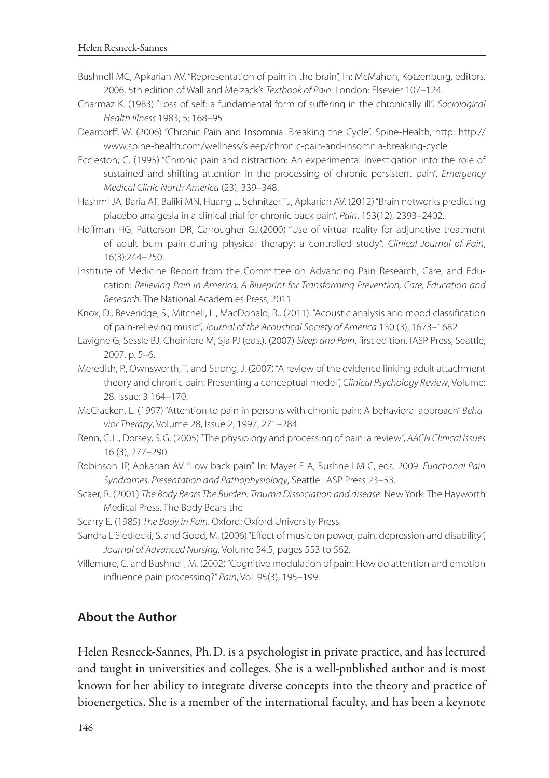- Bushnell MC, Apkarian AV. "Representation of pain in the brain", In: McMahon, Kotzenburg, editors. 2006. 5th edition of Wall and Melzack's *Textbook of Pain*. London: Elsevier 107–124.
- Charmaz K. (1983) "Loss of self: a fundamental form of suffering in the chronically ill". *Sociological Health Illness* 1983; 5: 168–95
- Deardorff, W. (2006) "Chronic Pain and Insomnia: Breaking the Cycle". Spine-Health, http: http:// www.spine-health.com/wellness/sleep/chronic-pain-and-insomnia-breaking-cycle
- Eccleston, C. (1995) "Chronic pain and distraction: An experimental investigation into the role of sustained and shifting attention in the processing of chronic persistent pain". *Emergency Medical Clinic North America* (23), 339–348.
- Hashmi JA, Baria AT, Baliki MN, Huang L, Schnitzer TJ, Apkarian AV. (2012) "Brain networks predicting placebo analgesia in a clinical trial for chronic back pain", *Pain*. 153(12), 2393–2402.
- Hoffman HG, Patterson DR, Carrougher GJ.(2000) "Use of virtual reality for adjunctive treatment of adult burn pain during physical therapy: a controlled study". *Clinical Journal of Pain*, 16(3):244–250.
- Institute of Medicine Report from the Committee on Advancing Pain Research, Care, and Education: *Relieving Pain in America, A Blueprint for Transforming Prevention, Care, Education and Research*. The National Academies Press, 2011
- Knox, D., Beveridge, S., Mitchell, L., MacDonald, R., (2011). "Acoustic analysis and mood classification of pain-relieving music", *Journal of the Acoustical Society of America* 130 (3), 1673–1682
- Lavigne G, Sessle BJ, Choiniere M, Sja PJ (eds.). (2007) *Sleep and Pain*, first edition. IASP Press, Seattle, 2007, p. 5–6.
- Meredith, P., Ownsworth, T. and Strong, J. (2007) "A review of the evidence linking adult attachment theory and chronic pain: Presenting a conceptual model", *Clinical Psychology Review*, Volume: 28. Issue: 3 164–170.
- McCracken, L. (1997) "Attention to pain in persons with chronic pain: A behavioral approach" *Behavior Therapy*, Volume 28, Issue 2, 1997, 271–284
- Renn, C.L., Dorsey, S.G. (2005) "The physiology and processing of pain: a review", *AACN Clinical Issues* 16 (3), 277–290.
- Robinson JP, Apkarian AV. "Low back pain". In: Mayer E A, Bushnell M C, eds. 2009. *Functional Pain Syndromes: Presentation and Pathophysiology*, Seattle: IASP Press 23–53.
- Scaer, R. (2001) *The Body Bears The Burden: Trauma Dissociation and disease*. New York: The Hayworth Medical Press. The Body Bears the
- Scarry E. (1985) *The Body in Pain*. Oxford: Oxford University Press.
- Sandra L Siedlecki, S. and Good, M. (2006) "Effect of music on power, pain, depression and disability", *Journal of Advanced Nursing*. Volume 54.5, pages 553 to 562.
- Villemure, C. and Bushnell, M. (2002) "Cognitive modulation of pain: How do attention and emotion influence pain processing?" *Pain*, Vol. 95(3), 195–199.

# **About the Author**

Helen Resneck-Sannes, Ph. D. is a psychologist in private practice, and has lectured and taught in universities and colleges. She is a well-published author and is most known for her ability to integrate diverse concepts into the theory and practice of bioenergetics. She is a member of the international faculty, and has been a keynote